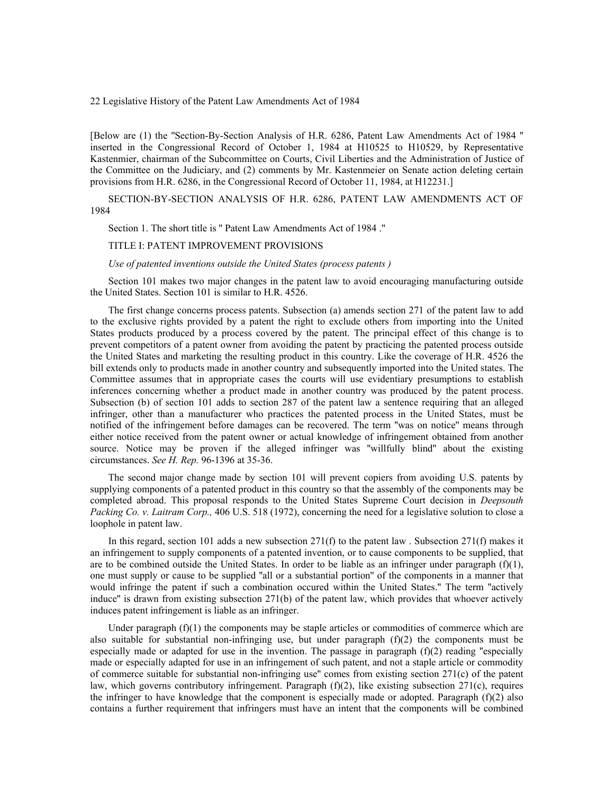22 Legislative History of the Patent Law Amendments Act of 1984

[Below are (1) the ''Section-By-Section Analysis of H.R. 6286, Patent Law Amendments Act of 1984 '' inserted in the Congressional Record of October 1, 1984 at H10525 to H10529, by Representative Kastenmier, chairman of the Subcommittee on Courts, Civil Liberties and the Administration of Justice of the Committee on the Judiciary, and (2) comments by Mr. Kastenmeier on Senate action deleting certain provisions from H.R. 6286, in the Congressional Record of October 11, 1984, at H12231.]

SECTION-BY-SECTION ANALYSIS OF H.R. 6286, PATENT LAW AMENDMENTS ACT OF 1984

Section 1. The short title is '' Patent Law Amendments Act of 1984 .''

### TITLE I: PATENT IMPROVEMENT PROVISIONS

*Use of patented inventions outside the United States (process patents )*

Section 101 makes two major changes in the patent law to avoid encouraging manufacturing outside the United States. Section 101 is similar to H.R. 4526.

The first change concerns process patents. Subsection (a) amends section 271 of the patent law to add to the exclusive rights provided by a patent the right to exclude others from importing into the United States products produced by a process covered by the patent. The principal effect of this change is to prevent competitors of a patent owner from avoiding the patent by practicing the patented process outside the United States and marketing the resulting product in this country. Like the coverage of H.R. 4526 the bill extends only to products made in another country and subsequently imported into the United states. The Committee assumes that in appropriate cases the courts will use evidentiary presumptions to establish inferences concerning whether a product made in another country was produced by the patent process. Subsection (b) of section 101 adds to section 287 of the patent law a sentence requiring that an alleged infringer, other than a manufacturer who practices the patented process in the United States, must be notified of the infringement before damages can be recovered. The term ''was on notice'' means through either notice received from the patent owner or actual knowledge of infringement obtained from another source. Notice may be proven if the alleged infringer was ''willfully blind'' about the existing circumstances. *See H. Rep.* 96-1396 at 35-36.

The second major change made by section 101 will prevent copiers from avoiding U.S. patents by supplying components of a patented product in this country so that the assembly of the components may be completed abroad. This proposal responds to the United States Supreme Court decision in *Deepsouth Packing Co. v. Laitram Corp.,* 406 U.S. 518 (1972), concerning the need for a legislative solution to close a loophole in patent law.

In this regard, section 101 adds a new subsection  $271(f)$  to the patent law. Subsection  $271(f)$  makes it an infringement to supply components of a patented invention, or to cause components to be supplied, that are to be combined outside the United States. In order to be liable as an infringer under paragraph  $(f)(1)$ , one must supply or cause to be supplied ''all or a substantial portion'' of the components in a manner that would infringe the patent if such a combination occured within the United States.'' The term ''actively induce'' is drawn from existing subsection 271(b) of the patent law, which provides that whoever actively induces patent infringement is liable as an infringer.

Under paragraph  $(f)(1)$  the components may be staple articles or commodities of commerce which are also suitable for substantial non-infringing use, but under paragraph (f)(2) the components must be especially made or adapted for use in the invention. The passage in paragraph (f)(2) reading "especially made or especially adapted for use in an infringement of such patent, and not a staple article or commodity of commerce suitable for substantial non-infringing use'' comes from existing section 271(c) of the patent law, which governs contributory infringement. Paragraph  $(f)(2)$ , like existing subsection  $271(c)$ , requires the infringer to have knowledge that the component is especially made or adopted. Paragraph  $(f)(2)$  also contains a further requirement that infringers must have an intent that the components will be combined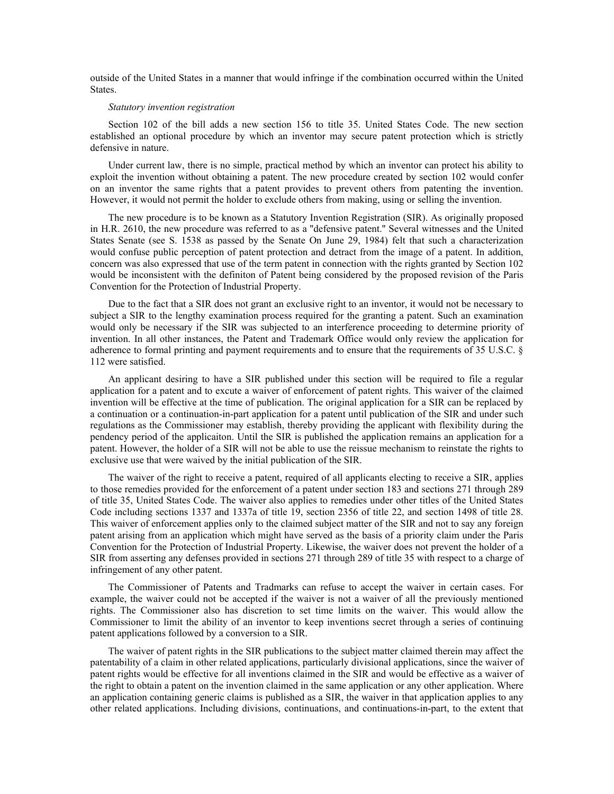outside of the United States in a manner that would infringe if the combination occurred within the United States.

#### *Statutory invention registration*

Section 102 of the bill adds a new section 156 to title 35. United States Code. The new section established an optional procedure by which an inventor may secure patent protection which is strictly defensive in nature.

Under current law, there is no simple, practical method by which an inventor can protect his ability to exploit the invention without obtaining a patent. The new procedure created by section 102 would confer on an inventor the same rights that a patent provides to prevent others from patenting the invention. However, it would not permit the holder to exclude others from making, using or selling the invention.

The new procedure is to be known as a Statutory Invention Registration (SIR). As originally proposed in H.R. 2610, the new procedure was referred to as a ''defensive patent.'' Several witnesses and the United States Senate (see S. 1538 as passed by the Senate On June 29, 1984) felt that such a characterization would confuse public perception of patent protection and detract from the image of a patent. In addition, concern was also expressed that use of the term patent in connection with the rights granted by Section 102 would be inconsistent with the definiton of Patent being considered by the proposed revision of the Paris Convention for the Protection of Industrial Property.

Due to the fact that a SIR does not grant an exclusive right to an inventor, it would not be necessary to subject a SIR to the lengthy examination process required for the granting a patent. Such an examination would only be necessary if the SIR was subjected to an interference proceeding to determine priority of invention. In all other instances, the Patent and Trademark Office would only review the application for adherence to formal printing and payment requirements and to ensure that the requirements of 35 U.S.C. § 112 were satisfied.

An applicant desiring to have a SIR published under this section will be required to file a regular application for a patent and to excute a waiver of enforcement of patent rights. This waiver of the claimed invention will be effective at the time of publication. The original application for a SIR can be replaced by a continuation or a continuation-in-part application for a patent until publication of the SIR and under such regulations as the Commissioner may establish, thereby providing the applicant with flexibility during the pendency period of the applicaiton. Until the SIR is published the application remains an application for a patent. However, the holder of a SIR will not be able to use the reissue mechanism to reinstate the rights to exclusive use that were waived by the initial publication of the SIR.

The waiver of the right to receive a patent, required of all applicants electing to receive a SIR, applies to those remedies provided for the enforcement of a patent under section 183 and sections 271 through 289 of title 35, United States Code. The waiver also applies to remedies under other titles of the United States Code including sections 1337 and 1337a of title 19, section 2356 of title 22, and section 1498 of title 28. This waiver of enforcement applies only to the claimed subject matter of the SIR and not to say any foreign patent arising from an application which might have served as the basis of a priority claim under the Paris Convention for the Protection of Industrial Property. Likewise, the waiver does not prevent the holder of a SIR from asserting any defenses provided in sections 271 through 289 of title 35 with respect to a charge of infringement of any other patent.

The Commissioner of Patents and Tradmarks can refuse to accept the waiver in certain cases. For example, the waiver could not be accepted if the waiver is not a waiver of all the previously mentioned rights. The Commissioner also has discretion to set time limits on the waiver. This would allow the Commissioner to limit the ability of an inventor to keep inventions secret through a series of continuing patent applications followed by a conversion to a SIR.

The waiver of patent rights in the SIR publications to the subject matter claimed therein may affect the patentability of a claim in other related applications, particularly divisional applications, since the waiver of patent rights would be effective for all inventions claimed in the SIR and would be effective as a waiver of the right to obtain a patent on the invention claimed in the same application or any other application. Where an application containing generic claims is published as a SIR, the waiver in that application applies to any other related applications. Including divisions, continuations, and continuations-in-part, to the extent that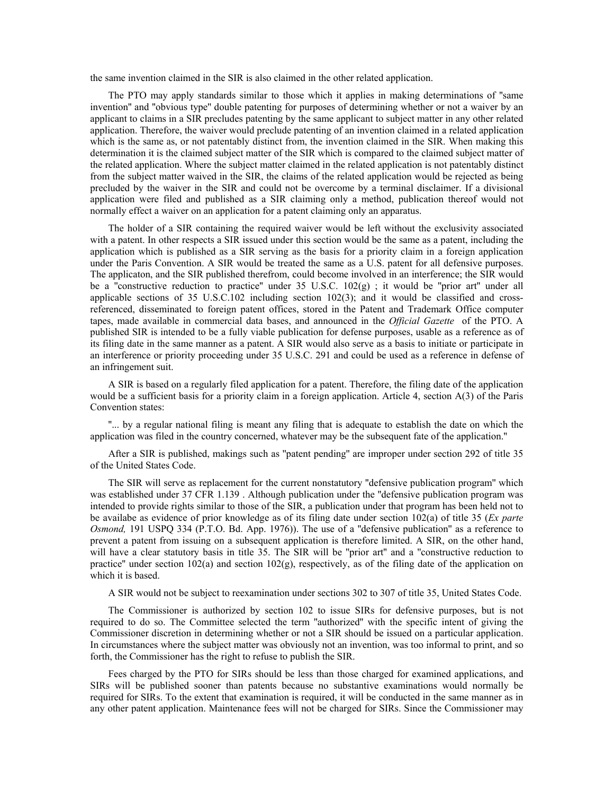the same invention claimed in the SIR is also claimed in the other related application.

The PTO may apply standards similar to those which it applies in making determinations of ''same invention'' and ''obvious type'' double patenting for purposes of determining whether or not a waiver by an applicant to claims in a SIR precludes patenting by the same applicant to subject matter in any other related application. Therefore, the waiver would preclude patenting of an invention claimed in a related application which is the same as, or not patentably distinct from, the invention claimed in the SIR. When making this determination it is the claimed subject matter of the SIR which is compared to the claimed subject matter of the related application. Where the subject matter claimed in the related application is not patentably distinct from the subject matter waived in the SIR, the claims of the related application would be rejected as being precluded by the waiver in the SIR and could not be overcome by a terminal disclaimer. If a divisional application were filed and published as a SIR claiming only a method, publication thereof would not normally effect a waiver on an application for a patent claiming only an apparatus.

The holder of a SIR containing the required waiver would be left without the exclusivity associated with a patent. In other respects a SIR issued under this section would be the same as a patent, including the application which is published as a SIR serving as the basis for a priority claim in a foreign application under the Paris Convention. A SIR would be treated the same as a U.S. patent for all defensive purposes. The applicaton, and the SIR published therefrom, could become involved in an interference; the SIR would be a ''constructive reduction to practice'' under 35 U.S.C. 102(g) ; it would be ''prior art'' under all applicable sections of 35 U.S.C.102 including section 102(3); and it would be classified and crossreferenced, disseminated to foreign patent offices, stored in the Patent and Trademark Office computer tapes, made available in commercial data bases, and announced in the *Official Gazette* of the PTO. A published SIR is intended to be a fully viable publication for defense purposes, usable as a reference as of its filing date in the same manner as a patent. A SIR would also serve as a basis to initiate or participate in an interference or priority proceeding under 35 U.S.C. 291 and could be used as a reference in defense of an infringement suit.

A SIR is based on a regularly filed application for a patent. Therefore, the filing date of the application would be a sufficient basis for a priority claim in a foreign application. Article 4, section A(3) of the Paris Convention states:

''... by a regular national filing is meant any filing that is adequate to establish the date on which the application was filed in the country concerned, whatever may be the subsequent fate of the application.''

After a SIR is published, makings such as ''patent pending'' are improper under section 292 of title 35 of the United States Code.

The SIR will serve as replacement for the current nonstatutory ''defensive publication program'' which was established under 37 CFR 1.139 . Although publication under the ''defensive publication program was intended to provide rights similar to those of the SIR, a publication under that program has been held not to be availabe as evidence of prior knowledge as of its filing date under section 102(a) of title 35 (*Ex parte Osmond,* 191 USPQ 334 (P.T.O. Bd. App. 1976)). The use of a ''defensive publication'' as a reference to prevent a patent from issuing on a subsequent application is therefore limited. A SIR, on the other hand, will have a clear statutory basis in title 35. The SIR will be "prior art" and a "constructive reduction to practice" under section  $102(a)$  and section  $102(g)$ , respectively, as of the filing date of the application on which it is based.

A SIR would not be subject to reexamination under sections 302 to 307 of title 35, United States Code.

The Commissioner is authorized by section 102 to issue SIRs for defensive purposes, but is not required to do so. The Committee selected the term ''authorized'' with the specific intent of giving the Commissioner discretion in determining whether or not a SIR should be issued on a particular application. In circumstances where the subject matter was obviously not an invention, was too informal to print, and so forth, the Commissioner has the right to refuse to publish the SIR.

Fees charged by the PTO for SIRs should be less than those charged for examined applications, and SIRs will be published sooner than patents because no substantive examinations would normally be required for SIRs. To the extent that examination is required, it will be conducted in the same manner as in any other patent application. Maintenance fees will not be charged for SIRs. Since the Commissioner may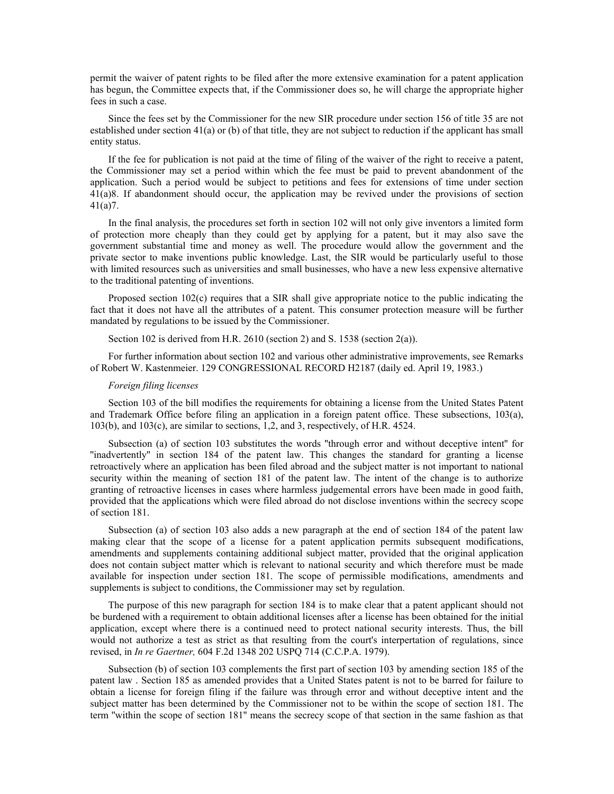permit the waiver of patent rights to be filed after the more extensive examination for a patent application has begun, the Committee expects that, if the Commissioner does so, he will charge the appropriate higher fees in such a case.

Since the fees set by the Commissioner for the new SIR procedure under section 156 of title 35 are not established under section 41(a) or (b) of that title, they are not subject to reduction if the applicant has small entity status.

If the fee for publication is not paid at the time of filing of the waiver of the right to receive a patent, the Commissioner may set a period within which the fee must be paid to prevent abandonment of the application. Such a period would be subject to petitions and fees for extensions of time under section 41(a)8. If abandonment should occur, the application may be revived under the provisions of section 41(a)7.

In the final analysis, the procedures set forth in section 102 will not only give inventors a limited form of protection more cheaply than they could get by applying for a patent, but it may also save the government substantial time and money as well. The procedure would allow the government and the private sector to make inventions public knowledge. Last, the SIR would be particularly useful to those with limited resources such as universities and small businesses, who have a new less expensive alternative to the traditional patenting of inventions.

Proposed section 102(c) requires that a SIR shall give appropriate notice to the public indicating the fact that it does not have all the attributes of a patent. This consumer protection measure will be further mandated by regulations to be issued by the Commissioner.

Section 102 is derived from H.R.  $2610$  (section 2) and S. 1538 (section  $2(a)$ ).

For further information about section 102 and various other administrative improvements, see Remarks of Robert W. Kastenmeier. 129 CONGRESSIONAL RECORD H2187 (daily ed. April 19, 1983.)

# *Foreign filing licenses*

Section 103 of the bill modifies the requirements for obtaining a license from the United States Patent and Trademark Office before filing an application in a foreign patent office. These subsections, 103(a), 103(b), and 103(c), are similar to sections, 1,2, and 3, respectively, of H.R. 4524.

Subsection (a) of section 103 substitutes the words ''through error and without deceptive intent'' for ''inadvertently'' in section 184 of the patent law. This changes the standard for granting a license retroactively where an application has been filed abroad and the subject matter is not important to national security within the meaning of section 181 of the patent law. The intent of the change is to authorize granting of retroactive licenses in cases where harmless judgemental errors have been made in good faith, provided that the applications which were filed abroad do not disclose inventions within the secrecy scope of section 181.

Subsection (a) of section 103 also adds a new paragraph at the end of section 184 of the patent law making clear that the scope of a license for a patent application permits subsequent modifications, amendments and supplements containing additional subject matter, provided that the original application does not contain subject matter which is relevant to national security and which therefore must be made available for inspection under section 181. The scope of permissible modifications, amendments and supplements is subject to conditions, the Commissioner may set by regulation.

The purpose of this new paragraph for section 184 is to make clear that a patent applicant should not be burdened with a requirement to obtain additional licenses after a license has been obtained for the initial application, except where there is a continued need to protect national security interests. Thus, the bill would not authorize a test as strict as that resulting from the court's interpertation of regulations, since revised, in *In re Gaertner,* 604 F.2d 1348 202 USPQ 714 (C.C.P.A. 1979).

Subsection (b) of section 103 complements the first part of section 103 by amending section 185 of the patent law . Section 185 as amended provides that a United States patent is not to be barred for failure to obtain a license for foreign filing if the failure was through error and without deceptive intent and the subject matter has been determined by the Commissioner not to be within the scope of section 181. The term ''within the scope of section 181'' means the secrecy scope of that section in the same fashion as that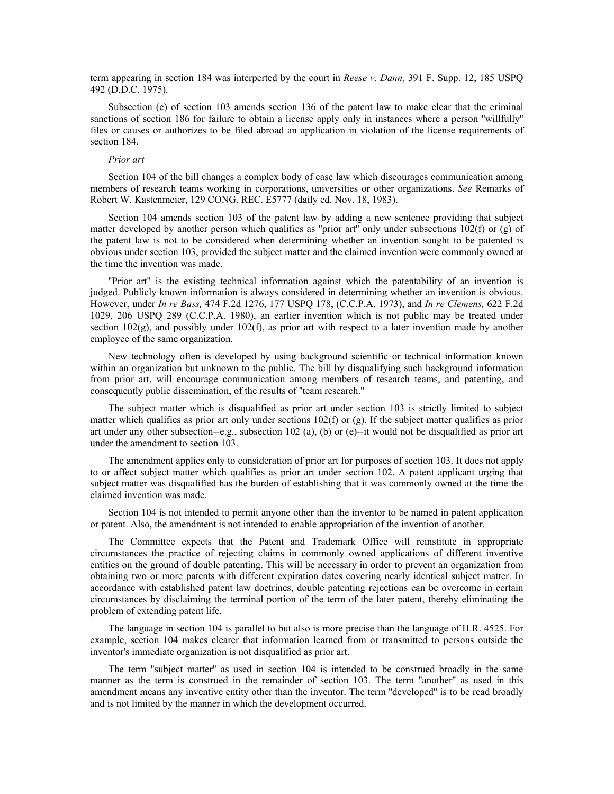term appearing in section 184 was interperted by the court in *Reese v. Dann,* 391 F. Supp. 12, 185 USPQ 492 (D.D.C. 1975).

Subsection (c) of section 103 amends section 136 of the patent law to make clear that the criminal sanctions of section 186 for failure to obtain a license apply only in instances where a person ''willfully'' files or causes or authorizes to be filed abroad an application in violation of the license requirements of section 184.

# *Prior art*

Section 104 of the bill changes a complex body of case law which discourages communication among members of research teams working in corporations, universities or other organizations. *See* Remarks of Robert W. Kastenmeier, 129 CONG. REC. E5777 (daily ed. Nov. 18, 1983).

Section 104 amends section 103 of the patent law by adding a new sentence providing that subject matter developed by another person which qualifies as "prior art" only under subsections  $102(f)$  or (g) of the patent law is not to be considered when determining whether an invention sought to be patented is obvious under section 103, provided the subject matter and the claimed invention were commonly owned at the time the invention was made.

''Prior art'' is the existing technical information against which the patentability of an invention is judged. Publicly known information is always considered in determining whether an invention is obvious. However, under *In re Bass,* 474 F.2d 1276, 177 USPQ 178, (C.C.P.A. 1973), and *In re Clemens,* 622 F.2d 1029, 206 USPQ 289 (C.C.P.A. 1980), an earlier invention which is not public may be treated under section  $102(g)$ , and possibly under  $102(f)$ , as prior art with respect to a later invention made by another employee of the same organization.

New technology often is developed by using background scientific or technical information known within an organization but unknown to the public. The bill by disqualifying such background information from prior art, will encourage communication among members of research teams, and patenting, and consequently public dissemination, of the results of ''team research.''

The subject matter which is disqualified as prior art under section 103 is strictly limited to subject matter which qualifies as prior art only under sections  $102(f)$  or (g). If the subject matter qualifies as prior art under any other subsection--e.g., subsection 102 (a), (b) or (e)--it would not be disqualified as prior art under the amendment to section 103.

The amendment applies only to consideration of prior art for purposes of section 103. It does not apply to or affect subject matter which qualifies as prior art under section 102. A patent applicant urging that subject matter was disqualified has the burden of establishing that it was commonly owned at the time the claimed invention was made.

Section 104 is not intended to permit anyone other than the inventor to be named in patent application or patent. Also, the amendment is not intended to enable appropriation of the invention of another.

The Committee expects that the Patent and Trademark Office will reinstitute in appropriate circumstances the practice of rejecting claims in commonly owned applications of different inventive entities on the ground of double patenting. This will be necessary in order to prevent an organization from obtaining two or more patents with different expiration dates covering nearly identical subject matter. In accordance with established patent law doctrines, double patenting rejections can be overcome in certain circumstances by disclaiming the terminal portion of the term of the later patent, thereby eliminating the problem of extending patent life.

The language in section 104 is parallel to but also is more precise than the language of H.R. 4525. For example, section 104 makes clearer that information learned from or transmitted to persons outside the inventor's immediate organization is not disqualified as prior art.

The term ''subject matter'' as used in section 104 is intended to be construed broadly in the same manner as the term is construed in the remainder of section 103. The term "another" as used in this amendment means any inventive entity other than the inventor. The term ''developed'' is to be read broadly and is not limited by the manner in which the development occurred.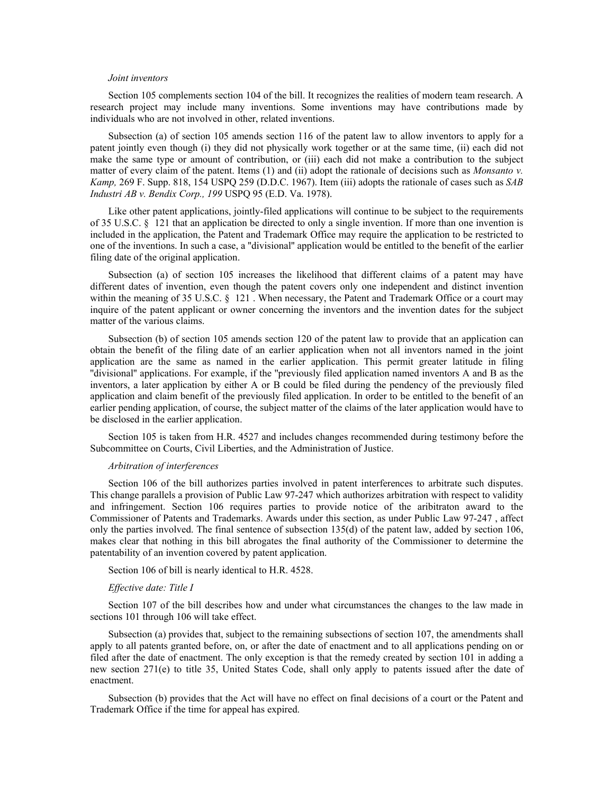# *Joint inventors*

Section 105 complements section 104 of the bill. It recognizes the realities of modern team research. A research project may include many inventions. Some inventions may have contributions made by individuals who are not involved in other, related inventions.

Subsection (a) of section 105 amends section 116 of the patent law to allow inventors to apply for a patent jointly even though (i) they did not physically work together or at the same time, (ii) each did not make the same type or amount of contribution, or (iii) each did not make a contribution to the subject matter of every claim of the patent. Items (1) and (ii) adopt the rationale of decisions such as *Monsanto v. Kamp,* 269 F. Supp. 818, 154 USPQ 259 (D.D.C. 1967). Item (iii) adopts the rationale of cases such as *SAB Industri AB v. Bendix Corp., 199* USPQ 95 (E.D. Va. 1978).

Like other patent applications, jointly-filed applications will continue to be subject to the requirements of 35 U.S.C. § 121 that an application be directed to only a single invention. If more than one invention is included in the application, the Patent and Trademark Office may require the application to be restricted to one of the inventions. In such a case, a ''divisional'' application would be entitled to the benefit of the earlier filing date of the original application.

Subsection (a) of section 105 increases the likelihood that different claims of a patent may have different dates of invention, even though the patent covers only one independent and distinct invention within the meaning of 35 U.S.C. § 121. When necessary, the Patent and Trademark Office or a court may inquire of the patent applicant or owner concerning the inventors and the invention dates for the subject matter of the various claims.

Subsection (b) of section 105 amends section 120 of the patent law to provide that an application can obtain the benefit of the filing date of an earlier application when not all inventors named in the joint application are the same as named in the earlier application. This permit greater latitude in filing ''divisional'' applications. For example, if the ''previously filed application named inventors A and B as the inventors, a later application by either A or B could be filed during the pendency of the previously filed application and claim benefit of the previously filed application. In order to be entitled to the benefit of an earlier pending application, of course, the subject matter of the claims of the later application would have to be disclosed in the earlier application.

Section 105 is taken from H.R. 4527 and includes changes recommended during testimony before the Subcommittee on Courts, Civil Liberties, and the Administration of Justice.

# *Arbitration of interferences*

Section 106 of the bill authorizes parties involved in patent interferences to arbitrate such disputes. This change parallels a provision of Public Law 97-247 which authorizes arbitration with respect to validity and infringement. Section 106 requires parties to provide notice of the aribitraton award to the Commissioner of Patents and Trademarks. Awards under this section, as under Public Law 97-247 , affect only the parties involved. The final sentence of subsection 135(d) of the patent law, added by section 106, makes clear that nothing in this bill abrogates the final authority of the Commissioner to determine the patentability of an invention covered by patent application.

Section 106 of bill is nearly identical to H.R. 4528.

### *Effective date: Title I*

Section 107 of the bill describes how and under what circumstances the changes to the law made in sections 101 through 106 will take effect.

Subsection (a) provides that, subject to the remaining subsections of section 107, the amendments shall apply to all patents granted before, on, or after the date of enactment and to all applications pending on or filed after the date of enactment. The only exception is that the remedy created by section 101 in adding a new section 271(e) to title 35, United States Code, shall only apply to patents issued after the date of enactment.

Subsection (b) provides that the Act will have no effect on final decisions of a court or the Patent and Trademark Office if the time for appeal has expired.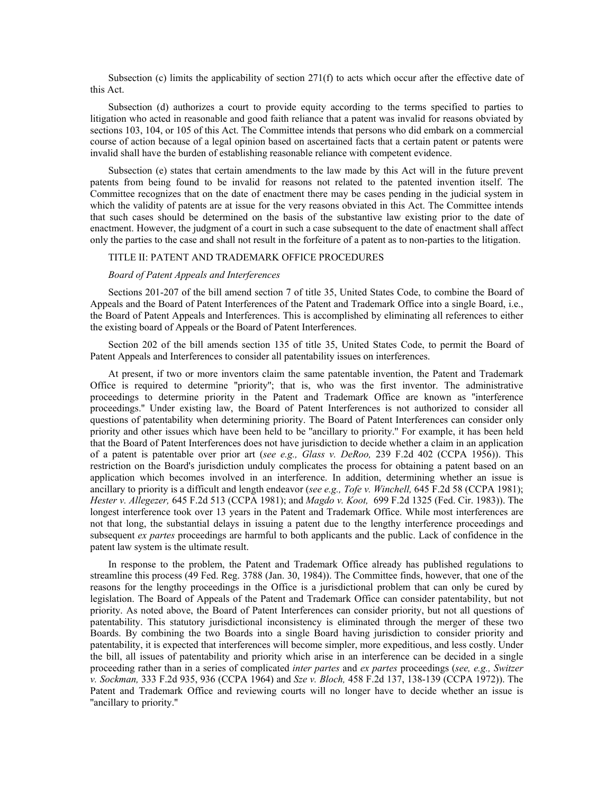Subsection (c) limits the applicability of section 271(f) to acts which occur after the effective date of this Act.

Subsection (d) authorizes a court to provide equity according to the terms specified to parties to litigation who acted in reasonable and good faith reliance that a patent was invalid for reasons obviated by sections 103, 104, or 105 of this Act. The Committee intends that persons who did embark on a commercial course of action because of a legal opinion based on ascertained facts that a certain patent or patents were invalid shall have the burden of establishing reasonable reliance with competent evidence.

Subsection (e) states that certain amendments to the law made by this Act will in the future prevent patents from being found to be invalid for reasons not related to the patented invention itself. The Committee recognizes that on the date of enactment there may be cases pending in the judicial system in which the validity of patents are at issue for the very reasons obviated in this Act. The Committee intends that such cases should be determined on the basis of the substantive law existing prior to the date of enactment. However, the judgment of a court in such a case subsequent to the date of enactment shall affect only the parties to the case and shall not result in the forfeiture of a patent as to non-parties to the litigation.

# TITLE II: PATENT AND TRADEMARK OFFICE PROCEDURES

# *Board of Patent Appeals and Interferences*

Sections 201-207 of the bill amend section 7 of title 35, United States Code, to combine the Board of Appeals and the Board of Patent Interferences of the Patent and Trademark Office into a single Board, i.e., the Board of Patent Appeals and Interferences. This is accomplished by eliminating all references to either the existing board of Appeals or the Board of Patent Interferences.

Section 202 of the bill amends section 135 of title 35, United States Code, to permit the Board of Patent Appeals and Interferences to consider all patentability issues on interferences.

At present, if two or more inventors claim the same patentable invention, the Patent and Trademark Office is required to determine ''priority''; that is, who was the first inventor. The administrative proceedings to determine priority in the Patent and Trademark Office are known as ''interference proceedings.'' Under existing law, the Board of Patent Interferences is not authorized to consider all questions of patentability when determining priority. The Board of Patent Interferences can consider only priority and other issues which have been held to be ''ancillary to priority.'' For example, it has been held that the Board of Patent Interferences does not have jurisdiction to decide whether a claim in an application of a patent is patentable over prior art (*see e.g., Glass v. DeRoo,* 239 F.2d 402 (CCPA 1956)). This restriction on the Board's jurisdiction unduly complicates the process for obtaining a patent based on an application which becomes involved in an interference. In addition, determining whether an issue is ancillary to priority is a difficult and length endeavor (*see e.g., Tofe v. Winchell,* 645 F.2d 58 (CCPA 1981); *Hester v. Allegezer,* 645 F.2d 513 (CCPA 1981); and *Magdo v. Koot,* 699 F.2d 1325 (Fed. Cir. 1983)). The longest interference took over 13 years in the Patent and Trademark Office. While most interferences are not that long, the substantial delays in issuing a patent due to the lengthy interference proceedings and subsequent *ex partes* proceedings are harmful to both applicants and the public. Lack of confidence in the patent law system is the ultimate result.

In response to the problem, the Patent and Trademark Office already has published regulations to streamline this process (49 Fed. Reg. 3788 (Jan. 30, 1984)). The Committee finds, however, that one of the reasons for the lengthy proceedings in the Office is a jurisdictional problem that can only be cured by legislation. The Board of Appeals of the Patent and Trademark Office can consider patentability, but not priority. As noted above, the Board of Patent Interferences can consider priority, but not all questions of patentability. This statutory jurisdictional inconsistency is eliminated through the merger of these two Boards. By combining the two Boards into a single Board having jurisdiction to consider priority and patentability, it is expected that interferences will become simpler, more expeditious, and less costly. Under the bill, all issues of patentability and priority which arise in an interference can be decided in a single proceeding rather than in a series of complicated *inter partes* and *ex partes* proceedings (*see, e.g., Switzer v. Sockman,* 333 F.2d 935, 936 (CCPA 1964) and *Sze v. Bloch,* 458 F.2d 137, 138-139 (CCPA 1972)). The Patent and Trademark Office and reviewing courts will no longer have to decide whether an issue is ''ancillary to priority.''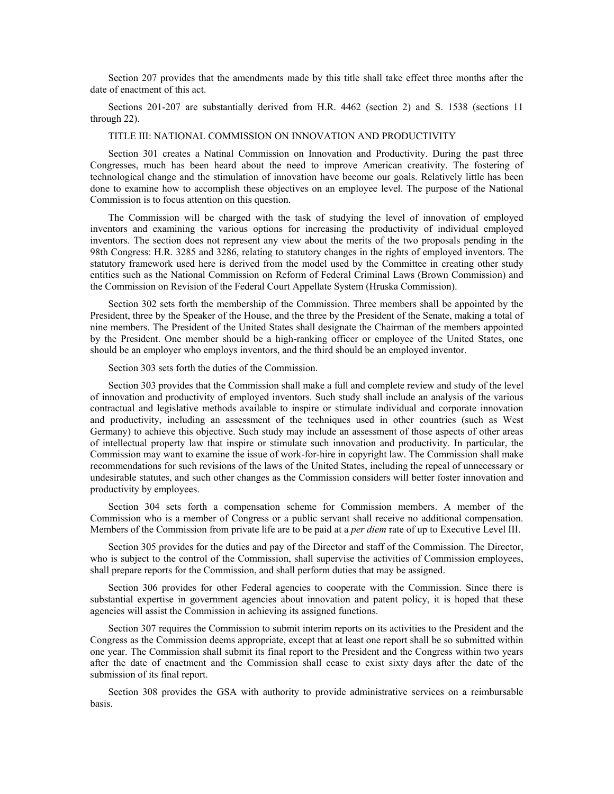Section 207 provides that the amendments made by this title shall take effect three months after the date of enactment of this act.

Sections 201-207 are substantially derived from H.R. 4462 (section 2) and S. 1538 (sections 11 through 22).

# TITLE III: NATIONAL COMMISSION ON INNOVATION AND PRODUCTIVITY

Section 301 creates a Natinal Commission on Innovation and Productivity. During the past three Congresses, much has been heard about the need to improve American creativity. The fostering of technological change and the stimulation of innovation have become our goals. Relatively little has been done to examine how to accomplish these objectives on an employee level. The purpose of the National Commission is to focus attention on this question.

The Commission will be charged with the task of studying the level of innovation of employed inventors and examining the various options for increasing the productivity of individual employed inventors. The section does not represent any view about the merits of the two proposals pending in the 98th Congress: H.R. 3285 and 3286, relating to statutory changes in the rights of employed inventors. The statutory framework used here is derived from the model used by the Committee in creating other study entities such as the National Commission on Reform of Federal Criminal Laws (Brown Commission) and the Commission on Revision of the Federal Court Appellate System (Hruska Commission).

Section 302 sets forth the membership of the Commission. Three members shall be appointed by the President, three by the Speaker of the House, and the three by the President of the Senate, making a total of nine members. The President of the United States shall designate the Chairman of the members appointed by the President. One member should be a high-ranking officer or employee of the United States, one should be an employer who employs inventors, and the third should be an employed inventor.

Section 303 sets forth the duties of the Commission.

Section 303 provides that the Commission shall make a full and complete review and study of the level of innovation and productivity of employed inventors. Such study shall include an analysis of the various contractual and legislative methods available to inspire or stimulate individual and corporate innovation and productivity, including an assessment of the techniques used in other countries (such as West Germany) to achieve this objective. Such study may include an assessment of those aspects of other areas of intellectual property law that inspire or stimulate such innovation and productivity. In particular, the Commission may want to examine the issue of work-for-hire in copyright law. The Commission shall make recommendations for such revisions of the laws of the United States, including the repeal of unnecessary or undesirable statutes, and such other changes as the Commission considers will better foster innovation and productivity by employees.

Section 304 sets forth a compensation scheme for Commission members. A member of the Commission who is a member of Congress or a public servant shall receive no additional compensation. Members of the Commission from private life are to be paid at a *per diem* rate of up to Executive Level III.

Section 305 provides for the duties and pay of the Director and staff of the Commission. The Director, who is subject to the control of the Commission, shall supervise the activities of Commission employees, shall prepare reports for the Commission, and shall perform duties that may be assigned.

Section 306 provides for other Federal agencies to cooperate with the Commission. Since there is substantial expertise in government agencies about innovation and patent policy, it is hoped that these agencies will assist the Commission in achieving its assigned functions.

Section 307 requires the Commission to submit interim reports on its activities to the President and the Congress as the Commission deems appropriate, except that at least one report shall be so submitted within one year. The Commission shall submit its final report to the President and the Congress within two years after the date of enactment and the Commission shall cease to exist sixty days after the date of the submission of its final report.

Section 308 provides the GSA with authority to provide administrative services on a reimbursable basis.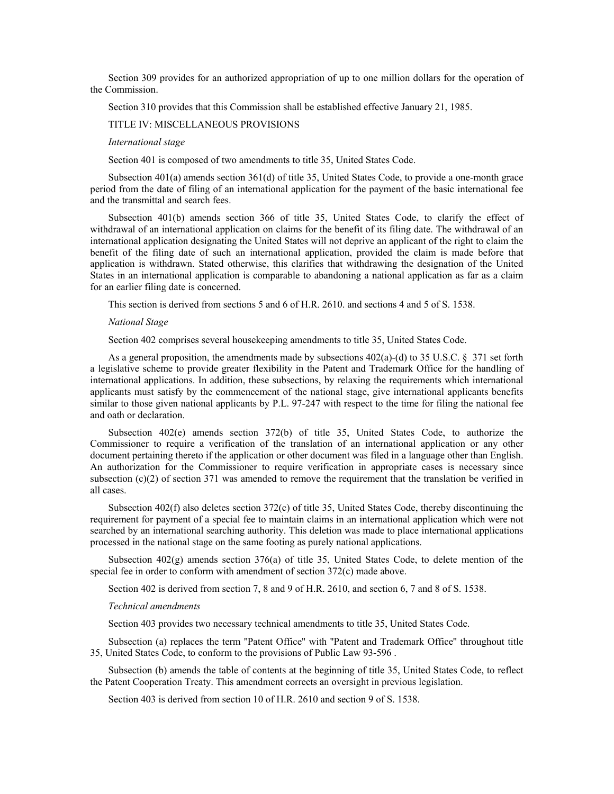Section 309 provides for an authorized appropriation of up to one million dollars for the operation of the Commission.

Section 310 provides that this Commission shall be established effective January 21, 1985.

# TITLE IV: MISCELLANEOUS PROVISIONS

# *International stage*

Section 401 is composed of two amendments to title 35, United States Code.

Subsection 401(a) amends section 361(d) of title 35, United States Code, to provide a one-month grace period from the date of filing of an international application for the payment of the basic international fee and the transmittal and search fees.

Subsection 401(b) amends section 366 of title 35, United States Code, to clarify the effect of withdrawal of an international application on claims for the benefit of its filing date. The withdrawal of an international application designating the United States will not deprive an applicant of the right to claim the benefit of the filing date of such an international application, provided the claim is made before that application is withdrawn. Stated otherwise, this clarifies that withdrawing the designation of the United States in an international application is comparable to abandoning a national application as far as a claim for an earlier filing date is concerned.

This section is derived from sections 5 and 6 of H.R. 2610. and sections 4 and 5 of S. 1538.

#### *National Stage*

Section 402 comprises several housekeeping amendments to title 35, United States Code.

As a general proposition, the amendments made by subsections  $402(a)-(d)$  to 35 U.S.C. § 371 set forth a legislative scheme to provide greater flexibility in the Patent and Trademark Office for the handling of international applications. In addition, these subsections, by relaxing the requirements which international applicants must satisfy by the commencement of the national stage, give international applicants benefits similar to those given national applicants by P.L. 97-247 with respect to the time for filing the national fee and oath or declaration.

Subsection 402(e) amends section 372(b) of title 35, United States Code, to authorize the Commissioner to require a verification of the translation of an international application or any other document pertaining thereto if the application or other document was filed in a language other than English. An authorization for the Commissioner to require verification in appropriate cases is necessary since subsection (c)(2) of section 371 was amended to remove the requirement that the translation be verified in all cases.

Subsection 402(f) also deletes section 372(c) of title 35, United States Code, thereby discontinuing the requirement for payment of a special fee to maintain claims in an international application which were not searched by an international searching authority. This deletion was made to place international applications processed in the national stage on the same footing as purely national applications.

Subsection  $402(g)$  amends section  $376(a)$  of title 35, United States Code, to delete mention of the special fee in order to conform with amendment of section 372(c) made above.

Section 402 is derived from section 7, 8 and 9 of H.R. 2610, and section 6, 7 and 8 of S. 1538.

#### *Technical amendments*

Section 403 provides two necessary technical amendments to title 35, United States Code.

Subsection (a) replaces the term ''Patent Office'' with ''Patent and Trademark Office'' throughout title 35, United States Code, to conform to the provisions of Public Law 93-596 .

Subsection (b) amends the table of contents at the beginning of title 35, United States Code, to reflect the Patent Cooperation Treaty. This amendment corrects an oversight in previous legislation.

Section 403 is derived from section 10 of H.R. 2610 and section 9 of S. 1538.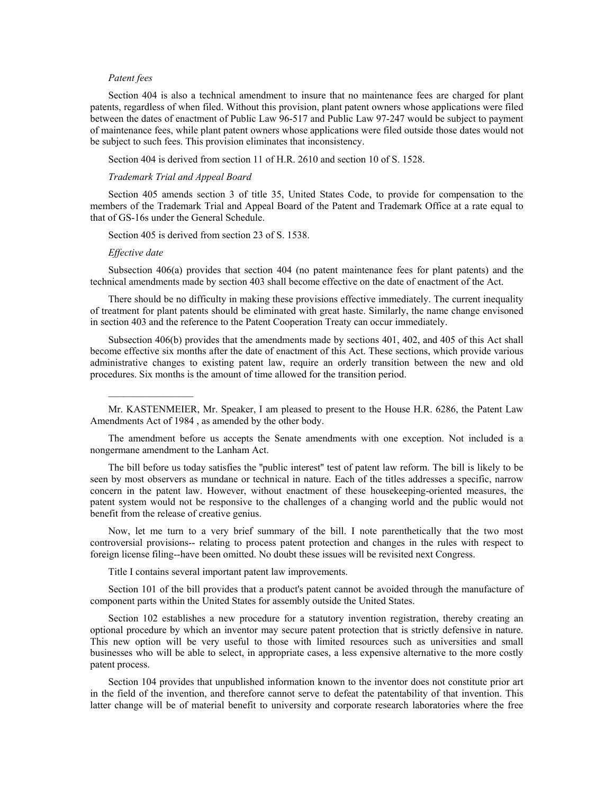# *Patent fees*

Section 404 is also a technical amendment to insure that no maintenance fees are charged for plant patents, regardless of when filed. Without this provision, plant patent owners whose applications were filed between the dates of enactment of Public Law 96-517 and Public Law 97-247 would be subject to payment of maintenance fees, while plant patent owners whose applications were filed outside those dates would not be subject to such fees. This provision eliminates that inconsistency.

Section 404 is derived from section 11 of H.R. 2610 and section 10 of S. 1528.

# *Trademark Trial and Appeal Board*

Section 405 amends section 3 of title 35, United States Code, to provide for compensation to the members of the Trademark Trial and Appeal Board of the Patent and Trademark Office at a rate equal to that of GS-16s under the General Schedule.

Section 405 is derived from section 23 of S. 1538.

# *Effective date*

Subsection 406(a) provides that section 404 (no patent maintenance fees for plant patents) and the technical amendments made by section 403 shall become effective on the date of enactment of the Act.

There should be no difficulty in making these provisions effective immediately. The current inequality of treatment for plant patents should be eliminated with great haste. Similarly, the name change envisoned in section 403 and the reference to the Patent Cooperation Treaty can occur immediately.

Subsection 406(b) provides that the amendments made by sections 401, 402, and 405 of this Act shall become effective six months after the date of enactment of this Act. These sections, which provide various administrative changes to existing patent law, require an orderly transition between the new and old procedures. Six months is the amount of time allowed for the transition period.

Mr. KASTENMEIER, Mr. Speaker, I am pleased to present to the House H.R. 6286, the Patent Law Amendments Act of 1984 , as amended by the other body.

The amendment before us accepts the Senate amendments with one exception. Not included is a nongermane amendment to the Lanham Act.

The bill before us today satisfies the ''public interest'' test of patent law reform. The bill is likely to be seen by most observers as mundane or technical in nature. Each of the titles addresses a specific, narrow concern in the patent law. However, without enactment of these housekeeping-oriented measures, the patent system would not be responsive to the challenges of a changing world and the public would not benefit from the release of creative genius.

Now, let me turn to a very brief summary of the bill. I note parenthetically that the two most controversial provisions-- relating to process patent protection and changes in the rules with respect to foreign license filing--have been omitted. No doubt these issues will be revisited next Congress.

Title I contains several important patent law improvements.

Section 101 of the bill provides that a product's patent cannot be avoided through the manufacture of component parts within the United States for assembly outside the United States.

Section 102 establishes a new procedure for a statutory invention registration, thereby creating an optional procedure by which an inventor may secure patent protection that is strictly defensive in nature. This new option will be very useful to those with limited resources such as universities and small businesses who will be able to select, in appropriate cases, a less expensive alternative to the more costly patent process.

Section 104 provides that unpublished information known to the inventor does not constitute prior art in the field of the invention, and therefore cannot serve to defeat the patentability of that invention. This latter change will be of material benefit to university and corporate research laboratories where the free